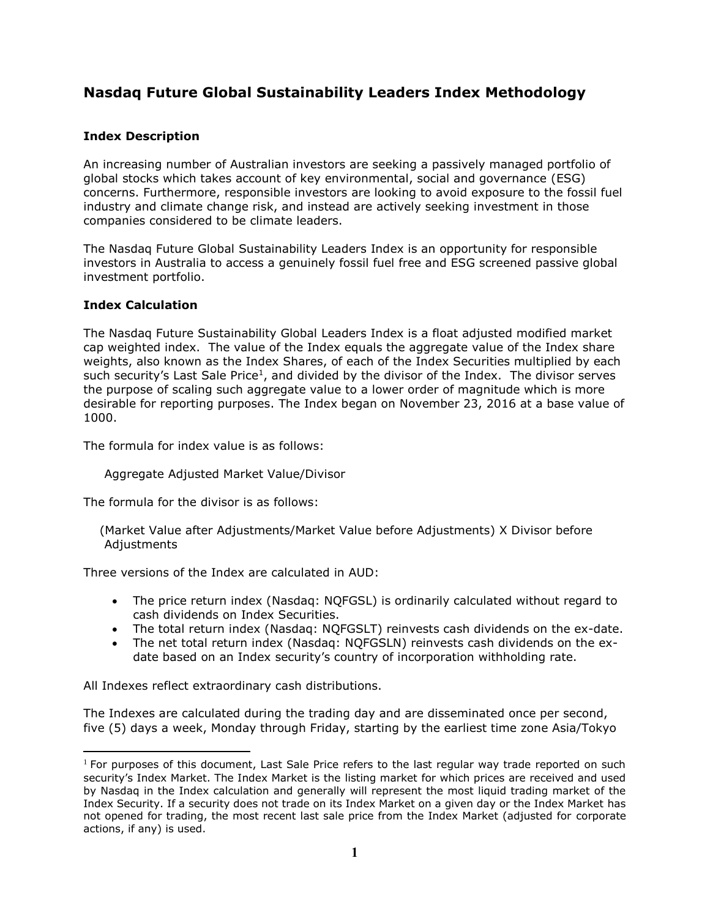# **Nasdaq Future Global Sustainability Leaders Index Methodology**

# **Index Description**

An increasing number of Australian investors are seeking a passively managed portfolio of global stocks which takes account of key environmental, social and governance (ESG) concerns. Furthermore, responsible investors are looking to avoid exposure to the fossil fuel industry and climate change risk, and instead are actively seeking investment in those companies considered to be climate leaders.

The Nasdaq Future Global Sustainability Leaders Index is an opportunity for responsible investors in Australia to access a genuinely fossil fuel free and ESG screened passive global investment portfolio.

## **Index Calculation**

The Nasdaq Future Sustainability Global Leaders Index is a float adjusted modified market cap weighted index. The value of the Index equals the aggregate value of the Index share weights, also known as the Index Shares, of each of the Index Securities multiplied by each such security's Last Sale Price<sup>1</sup>, and divided by the divisor of the Index. The divisor serves the purpose of scaling such aggregate value to a lower order of magnitude which is more desirable for reporting purposes. The Index began on November 23, 2016 at a base value of 1000.

The formula for index value is as follows:

Aggregate Adjusted Market Value/Divisor

The formula for the divisor is as follows:

 (Market Value after Adjustments/Market Value before Adjustments) X Divisor before **Adjustments** 

Three versions of the Index are calculated in AUD:

- The price return index (Nasdaq: NQFGSL) is ordinarily calculated without regard to cash dividends on Index Securities.
- The total return index (Nasdaq: NQFGSLT) reinvests cash dividends on the ex-date.
- The net total return index (Nasdaq: NQFGSLN) reinvests cash dividends on the exdate based on an Index security's country of incorporation withholding rate.

All Indexes reflect extraordinary cash distributions.

The Indexes are calculated during the trading day and are disseminated once per second, five (5) days a week, Monday through Friday, starting by the earliest time zone Asia/Tokyo

 $1$  For purposes of this document, Last Sale Price refers to the last regular way trade reported on such security's Index Market. The Index Market is the listing market for which prices are received and used by Nasdaq in the Index calculation and generally will represent the most liquid trading market of the Index Security. If a security does not trade on its Index Market on a given day or the Index Market has not opened for trading, the most recent last sale price from the Index Market (adjusted for corporate actions, if any) is used.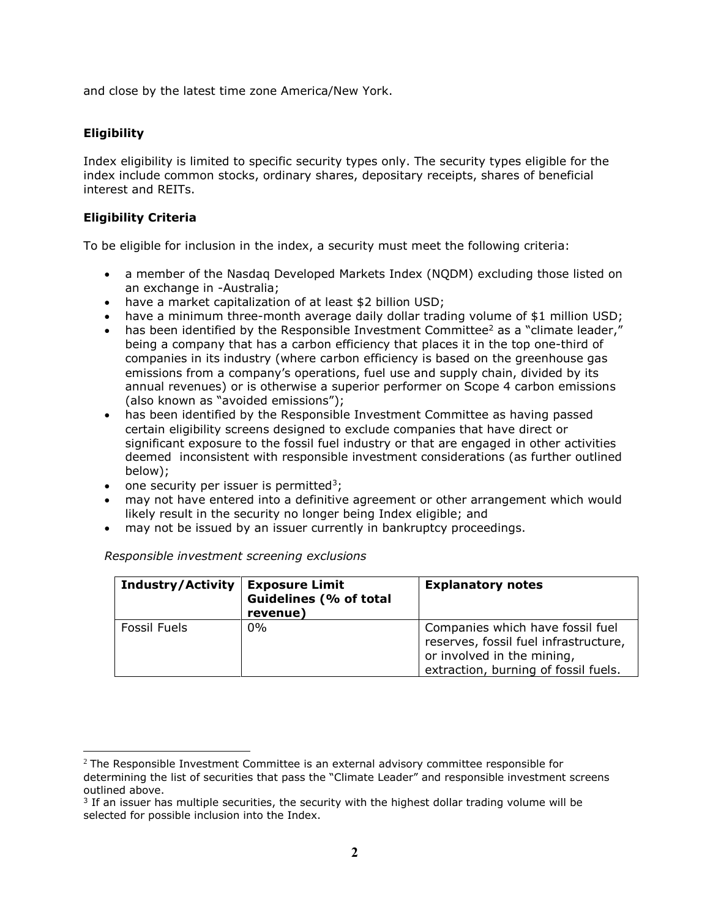and close by the latest time zone America/New York.

# **Eligibility**

Index eligibility is limited to specific security types only. The security types eligible for the index include common stocks, ordinary shares, depositary receipts, shares of beneficial interest and REITs.

## **Eligibility Criteria**

To be eligible for inclusion in the index, a security must meet the following criteria:

- a member of the Nasdaq Developed Markets Index (NQDM) excluding those listed on an exchange in -Australia;
- have a market capitalization of at least \$2 billion USD;
- have a minimum three-month average daily dollar trading volume of \$1 million USD;
- has been identified by the Responsible Investment Committee<sup>2</sup> as a "climate leader," being a company that has a carbon efficiency that places it in the top one-third of companies in its industry (where carbon efficiency is based on the greenhouse gas emissions from a company's operations, fuel use and supply chain, divided by its annual revenues) or is otherwise a superior performer on Scope 4 carbon emissions (also known as "avoided emissions");
- has been identified by the Responsible Investment Committee as having passed certain eligibility screens designed to exclude companies that have direct or significant exposure to the fossil fuel industry or that are engaged in other activities deemed inconsistent with responsible investment considerations (as further outlined below);
- one security per issuer is permitted<sup>3</sup>;
- may not have entered into a definitive agreement or other arrangement which would likely result in the security no longer being Index eligible; and
- may not be issued by an issuer currently in bankruptcy proceedings.

| <b>Industry/Activity</b> | <b>Exposure Limit</b><br><b>Guidelines (% of total</b><br>revenue) | <b>Explanatory notes</b>                                                                                                                        |
|--------------------------|--------------------------------------------------------------------|-------------------------------------------------------------------------------------------------------------------------------------------------|
| Fossil Fuels             | $0\%$                                                              | Companies which have fossil fuel<br>reserves, fossil fuel infrastructure,<br>or involved in the mining,<br>extraction, burning of fossil fuels. |

## *Responsible investment screening exclusions*

 $2$  The Responsible Investment Committee is an external advisory committee responsible for determining the list of securities that pass the "Climate Leader" and responsible investment screens outlined above.

 $3$  If an issuer has multiple securities, the security with the highest dollar trading volume will be selected for possible inclusion into the Index.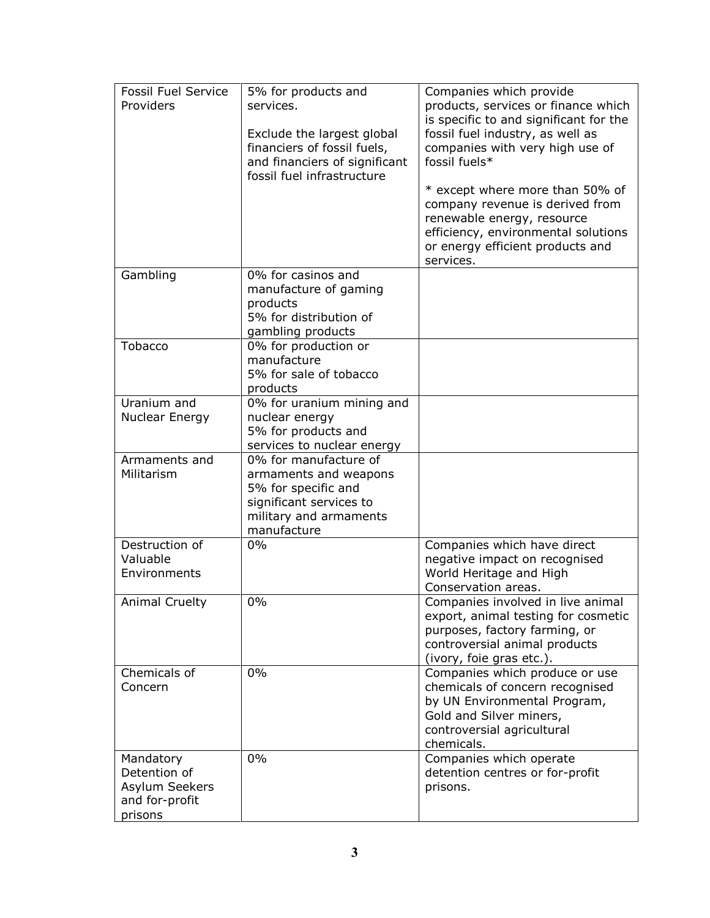| <b>Fossil Fuel Service</b> | 5% for products and                   | Companies which provide                                    |
|----------------------------|---------------------------------------|------------------------------------------------------------|
| Providers                  | services.                             | products, services or finance which                        |
|                            |                                       | is specific to and significant for the                     |
|                            | Exclude the largest global            | fossil fuel industry, as well as                           |
|                            | financiers of fossil fuels,           | companies with very high use of                            |
|                            | and financiers of significant         | fossil fuels*                                              |
|                            | fossil fuel infrastructure            |                                                            |
|                            |                                       | * except where more than 50% of                            |
|                            |                                       | company revenue is derived from                            |
|                            |                                       | renewable energy, resource                                 |
|                            |                                       | efficiency, environmental solutions                        |
|                            |                                       | or energy efficient products and                           |
|                            |                                       | services.                                                  |
| Gambling                   | 0% for casinos and                    |                                                            |
|                            | manufacture of gaming                 |                                                            |
|                            | products                              |                                                            |
|                            | 5% for distribution of                |                                                            |
|                            | gambling products                     |                                                            |
| Tobacco                    | 0% for production or                  |                                                            |
|                            | manufacture<br>5% for sale of tobacco |                                                            |
|                            | products                              |                                                            |
| Uranium and                | 0% for uranium mining and             |                                                            |
| Nuclear Energy             | nuclear energy                        |                                                            |
|                            | 5% for products and                   |                                                            |
|                            | services to nuclear energy            |                                                            |
| Armaments and              | 0% for manufacture of                 |                                                            |
| Militarism                 | armaments and weapons                 |                                                            |
|                            | 5% for specific and                   |                                                            |
|                            | significant services to               |                                                            |
|                            | military and armaments                |                                                            |
|                            | manufacture                           |                                                            |
| Destruction of             | 0%                                    | Companies which have direct                                |
| Valuable                   |                                       | negative impact on recognised                              |
| Environments               |                                       | World Heritage and High                                    |
|                            |                                       | Conservation areas.                                        |
| Animal Cruelty             | 0%                                    | Companies involved in live animal                          |
|                            |                                       | export, animal testing for cosmetic                        |
|                            |                                       | purposes, factory farming, or                              |
|                            |                                       | controversial animal products                              |
|                            |                                       | (ivory, foie gras etc.).                                   |
| Chemicals of               | 0%                                    | Companies which produce or use                             |
| Concern                    |                                       | chemicals of concern recognised                            |
|                            |                                       | by UN Environmental Program,                               |
|                            |                                       | Gold and Silver miners,                                    |
|                            |                                       | controversial agricultural                                 |
|                            | 0%                                    | chemicals.                                                 |
| Mandatory<br>Detention of  |                                       | Companies which operate<br>detention centres or for-profit |
| Asylum Seekers             |                                       | prisons.                                                   |
| and for-profit             |                                       |                                                            |
| prisons                    |                                       |                                                            |
|                            |                                       |                                                            |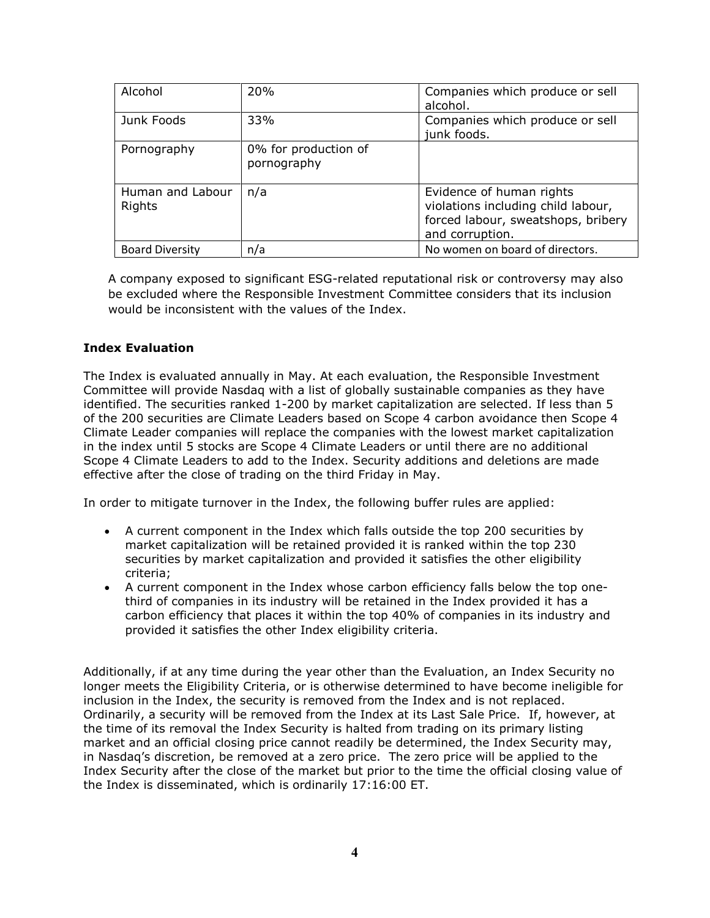| Alcohol                    | 20%                                 | Companies which produce or sell<br>alcohol.                                                                             |
|----------------------------|-------------------------------------|-------------------------------------------------------------------------------------------------------------------------|
| Junk Foods                 | 33%                                 | Companies which produce or sell<br>junk foods.                                                                          |
| Pornography                | 0% for production of<br>pornography |                                                                                                                         |
| Human and Labour<br>Rights | n/a                                 | Evidence of human rights<br>violations including child labour,<br>forced labour, sweatshops, bribery<br>and corruption. |
| <b>Board Diversity</b>     | n/a                                 | No women on board of directors.                                                                                         |

A company exposed to significant ESG-related reputational risk or controversy may also be excluded where the Responsible Investment Committee considers that its inclusion would be inconsistent with the values of the Index.

## **Index Evaluation**

The Index is evaluated annually in May. At each evaluation, the Responsible Investment Committee will provide Nasdaq with a list of globally sustainable companies as they have identified. The securities ranked 1-200 by market capitalization are selected. If less than 5 of the 200 securities are Climate Leaders based on Scope 4 carbon avoidance then Scope 4 Climate Leader companies will replace the companies with the lowest market capitalization in the index until 5 stocks are Scope 4 Climate Leaders or until there are no additional Scope 4 Climate Leaders to add to the Index. Security additions and deletions are made effective after the close of trading on the third Friday in May.

In order to mitigate turnover in the Index, the following buffer rules are applied:

- A current component in the Index which falls outside the top 200 securities by market capitalization will be retained provided it is ranked within the top 230 securities by market capitalization and provided it satisfies the other eligibility criteria;
- A current component in the Index whose carbon efficiency falls below the top onethird of companies in its industry will be retained in the Index provided it has a carbon efficiency that places it within the top 40% of companies in its industry and provided it satisfies the other Index eligibility criteria.

Additionally, if at any time during the year other than the Evaluation, an Index Security no longer meets the Eligibility Criteria, or is otherwise determined to have become ineligible for inclusion in the Index, the security is removed from the Index and is not replaced. Ordinarily, a security will be removed from the Index at its Last Sale Price. If, however, at the time of its removal the Index Security is halted from trading on its primary listing market and an official closing price cannot readily be determined, the Index Security may, in Nasdaq's discretion, be removed at a zero price. The zero price will be applied to the Index Security after the close of the market but prior to the time the official closing value of the Index is disseminated, which is ordinarily 17:16:00 ET.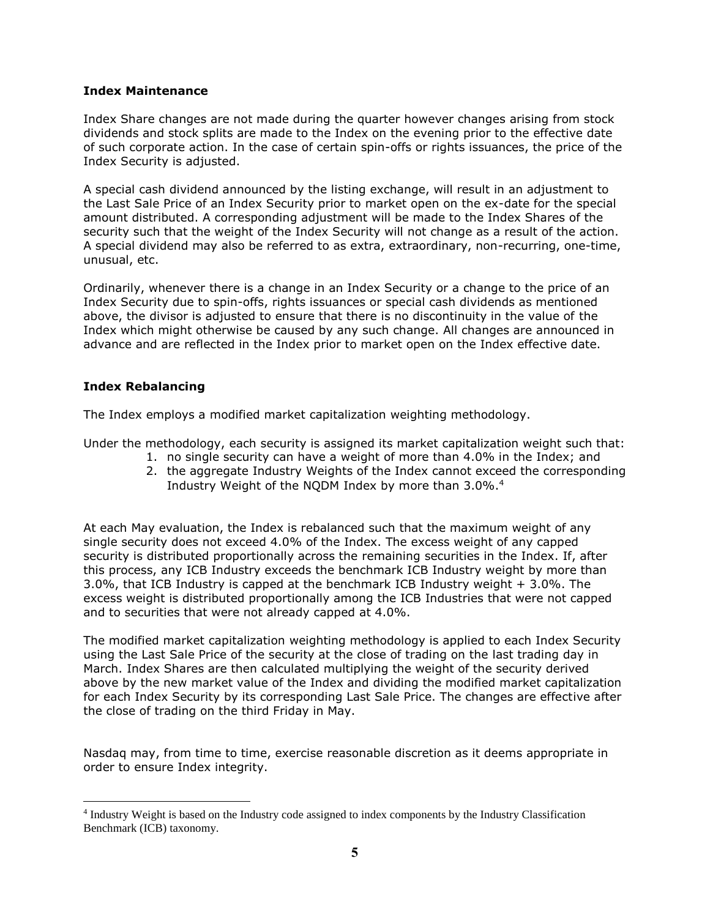#### **Index Maintenance**

Index Share changes are not made during the quarter however changes arising from stock dividends and stock splits are made to the Index on the evening prior to the effective date of such corporate action. In the case of certain spin-offs or rights issuances, the price of the Index Security is adjusted.

A special cash dividend announced by the listing exchange, will result in an adjustment to the Last Sale Price of an Index Security prior to market open on the ex-date for the special amount distributed. A corresponding adjustment will be made to the Index Shares of the security such that the weight of the Index Security will not change as a result of the action. A special dividend may also be referred to as extra, extraordinary, non-recurring, one-time, unusual, etc.

Ordinarily, whenever there is a change in an Index Security or a change to the price of an Index Security due to spin-offs, rights issuances or special cash dividends as mentioned above, the divisor is adjusted to ensure that there is no discontinuity in the value of the Index which might otherwise be caused by any such change. All changes are announced in advance and are reflected in the Index prior to market open on the Index effective date.

## **Index Rebalancing**

The Index employs a modified market capitalization weighting methodology.

Under the methodology, each security is assigned its market capitalization weight such that:

- 1. no single security can have a weight of more than 4.0% in the Index; and
- 2. the aggregate Industry Weights of the Index cannot exceed the corresponding Industry Weight of the NQDM Index by more than 3.0%. 4

At each May evaluation, the Index is rebalanced such that the maximum weight of any single security does not exceed 4.0% of the Index. The excess weight of any capped security is distributed proportionally across the remaining securities in the Index. If, after this process, any ICB Industry exceeds the benchmark ICB Industry weight by more than 3.0%, that ICB Industry is capped at the benchmark ICB Industry weight + 3.0%. The excess weight is distributed proportionally among the ICB Industries that were not capped and to securities that were not already capped at 4.0%.

The modified market capitalization weighting methodology is applied to each Index Security using the Last Sale Price of the security at the close of trading on the last trading day in March. Index Shares are then calculated multiplying the weight of the security derived above by the new market value of the Index and dividing the modified market capitalization for each Index Security by its corresponding Last Sale Price. The changes are effective after the close of trading on the third Friday in May.

Nasdaq may, from time to time, exercise reasonable discretion as it deems appropriate in order to ensure Index integrity.

<sup>&</sup>lt;sup>4</sup> Industry Weight is based on the Industry code assigned to index components by the Industry Classification Benchmark (ICB) taxonomy.